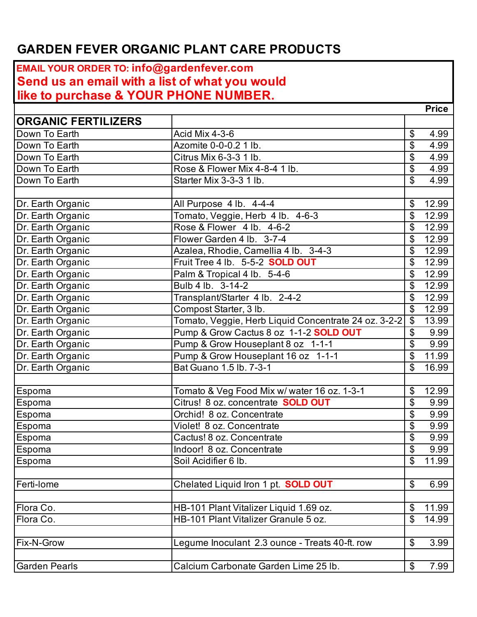## **GARDEN FEVER ORGANIC PLANT CARE PRODUCTS**

## **EMAIL YOUR ORDER TO: info@gardenfever.com Send us an email with a list of what you would like to purchase & YOUR PHONE NUMBER. Price ORGANIC FERTILIZERS** Down To Earth Acid Mix 4-3-6 **1998** Acid Mix 4-3-6 Down To Earth  $|$ Azomite 0-0-0.2 1 lb.  $|$  \$ 4.99 Down To Earth **Citrus Mix 6-3-3 1 lb. Citrus Mix 6-3-3 1** lb. Down To Earth  $\vert$ Rose & Flower Mix 4-8-4 1 lb.  $\vert$  \$ 4.99 Down To Earth  $\sim$  Starter Mix 3-3-3 1 lb.  $\sim$   $\sim$   $\sim$  4.99 Dr. Earth Organic  $\vert$  All Purpose 4 lb. 4-4-4  $\vert$  \$ 12.99 Dr. Earth Organic **Tomato, Veggie, Herb 4 lb. 4-6-3** 5 12.99 Dr. Earth Organic  $\vert$ Rose & Flower 4 lb. 4-6-2  $\vert$  \$ 12.99 Dr. Earth Organic Flower Garden 4 lb. 3-7-4 5 12.99 Dr. Earth Organic **Azalea, Rhodie, Camellia 4 lb.** 3-4-3 **12.99 12.99** Dr. Earth Organic Fruit Tree 4 lb. 5-5-2 **SOLD OUT** \$ 12.99 Dr. Earth Organic  $Palam & Tropical 4 lb. 5-4-6$   $\left| \begin{array}{ccc} 5 & 12.99 \\ \end{array} \right|$ Dr. Earth Organic  $|B_{\text{u}}|$  | Bulb 4 lb. 3-14-2  $| \$$  12.99 Dr. Earth Organic **Transplant/Starter 4 lb.** 2-4-2 **12.99 12.99** Dr. Earth Organic Compost Starter, 3 lb.  $\boxed{\$}$  12.99 Dr. Earth Organic **The Concentration Concentrate 24 oz. 3-2-2** \$ 13.99 Dr. Earth Organic Pump & Grow Cactus 8 oz 1-1-2 **SOLD OUT** \$ 9.99 Dr. Earth Organic **Pump & Grow Houseplant 8 oz 1-1-1** 5 9.99 Dr. Earth Organic Pump & Grow Houseplant 16 oz 1-1-1 \$ 11.99 Dr. Earth Organic **Bat Guano 1.5 lb. 7-3-1 Bat Guano 1.5 lb. 7-3-1 Bat Guano 1.5 lb. 7-3-1** Espoma Tomato & Veg Food Mix w/ water 16 oz. 1-3-1  $\frac{1}{3}$  12.99 Espoma  $\vert$ Citrus! 8 oz. concentrate **SOLD OUT**  $\vert$  \$ 9.99 Espoma Orchid! 8 oz. Concentrate \$ 9.99 Espoma  $\vert$ Violet! 8 oz. Concentrate  $\vert$  \$ 9.99 Espoma **Cactus! 8 oz. Concentrate** \$ 9.99 Espoma  $\vert$ Indoor! 8 oz. Concentrate  $\vert$  \$ 9.99 Espoma  $\vert$ Soil Acidifier 6 lb.  $\vert$  \$ 11.99 Ferti-lome **Chelated Liquid Iron 1 pt. SOLD OUT** 5 6.99 Flora Co. **HB-101 Plant Vitalizer Liquid 1.69 oz. 11.99 11.99** Flora Co. **Example 20 Flora Co.** HB-101 Plant Vitalizer Granule 5 oz. **1999** Section 14.99 Fix-N-Grow **Legume Inoculant 2.3 ounce - Treats 40-ft. row** | \$ 3.99 Garden Pearls **Calcium Carbonate Garden Lime 25 lb.** 5 7.99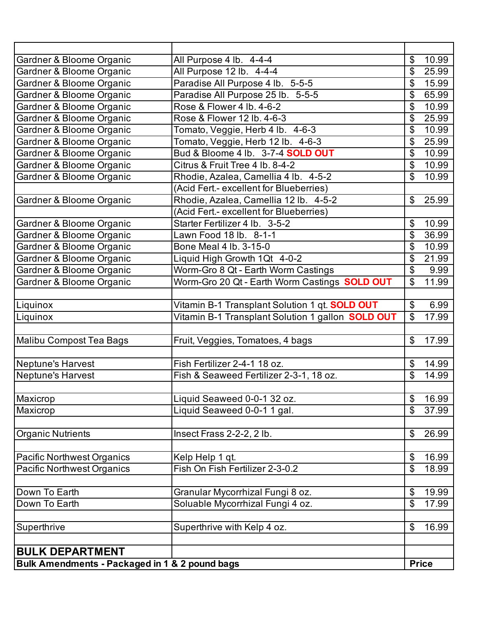| Gardner & Bloome Organic                       | All Purpose 4 lb. 4-4-4                                  | \$             | 10.99        |
|------------------------------------------------|----------------------------------------------------------|----------------|--------------|
| Gardner & Bloome Organic                       | All Purpose 12 lb. 4-4-4                                 | \$             | 25.99        |
| Gardner & Bloome Organic                       | Paradise All Purpose 4 lb. 5-5-5                         | \$             | 15.99        |
| Gardner & Bloome Organic                       | Paradise All Purpose 25 lb. 5-5-5                        | \$             | 65.99        |
| Gardner & Bloome Organic                       | Rose & Flower 4 lb. 4-6-2                                | \$             | 10.99        |
| Gardner & Bloome Organic                       | Rose & Flower 12 lb. 4-6-3                               | \$             | 25.99        |
| Gardner & Bloome Organic                       | Tomato, Veggie, Herb 4 lb. 4-6-3                         | \$             | 10.99        |
| Gardner & Bloome Organic                       | Tomato, Veggie, Herb 12 lb. 4-6-3                        | \$             | 25.99        |
| Gardner & Bloome Organic                       | Bud & Bloome 4 lb. 3-7-4 SOLD OUT                        | \$             | 10.99        |
| Gardner & Bloome Organic                       | Citrus & Fruit Tree 4 lb. 8-4-2                          | \$             | 10.99        |
| Gardner & Bloome Organic                       | Rhodie, Azalea, Camellia 4 lb. 4-5-2                     | \$             | 10.99        |
|                                                | (Acid Fert.- excellent for Blueberries)                  |                |              |
| Gardner & Bloome Organic                       | Rhodie, Azalea, Camellia 12 lb. 4-5-2                    | $\mathfrak{L}$ | 25.99        |
|                                                | (Acid Fert.- excellent for Blueberries)                  |                |              |
| Gardner & Bloome Organic                       | Starter Fertilizer 4 lb. 3-5-2                           | \$             | 10.99        |
| Gardner & Bloome Organic                       | Lawn Food 18 lb. 8-1-1                                   | \$             | 36.99        |
| Gardner & Bloome Organic                       | Bone Meal 4 lb. 3-15-0                                   | \$             | 10.99        |
| Gardner & Bloome Organic                       | Liquid High Growth 1Qt 4-0-2                             | \$             | 21.99        |
| Gardner & Bloome Organic                       | Worm-Gro 8 Qt - Earth Worm Castings                      | \$             | 9.99         |
| Gardner & Bloome Organic                       | Worm-Gro 20 Qt - Earth Worm Castings SOLD OUT            | $\mathfrak{L}$ | 11.99        |
|                                                |                                                          |                |              |
| Liquinox                                       | Vitamin B-1 Transplant Solution 1 qt. <b>SOLD OUT</b>    | $\mathfrak{S}$ | 6.99         |
| Liquinox                                       | Vitamin B-1 Transplant Solution 1 gallon <b>SOLD OUT</b> | \$             | 17.99        |
|                                                |                                                          |                |              |
| Malibu Compost Tea Bags                        | Fruit, Veggies, Tomatoes, 4 bags                         | $\mathbb{S}$   | 17.99        |
|                                                |                                                          |                |              |
| Neptune's Harvest                              | Fish Fertilizer 2-4-1 18 oz.                             | \$             | 14.99        |
| Neptune's Harvest                              | Fish & Seaweed Fertilizer 2-3-1, 18 oz.                  | \$             | 14.99        |
|                                                |                                                          |                |              |
| Maxicrop                                       | Liquid Seaweed 0-0-1 32 oz.                              | \$             | 16.99        |
| Maxicrop                                       | Liquid Seaweed 0-0-1 1 gal.                              | \$             | 37.99        |
|                                                |                                                          |                |              |
| <b>Organic Nutrients</b>                       | Insect Frass 2-2-2, 2 lb.                                | \$             | 26.99        |
|                                                |                                                          |                |              |
| <b>Pacific Northwest Organics</b>              | Kelp Help 1 qt.                                          | \$             | 16.99        |
| <b>Pacific Northwest Organics</b>              | Fish On Fish Fertilizer 2-3-0.2                          | \$             | 18.99        |
|                                                |                                                          |                |              |
| Down To Earth                                  | Granular Mycorrhizal Fungi 8 oz.                         | \$             | 19.99        |
| Down To Earth                                  | Soluable Mycorrhizal Fungi 4 oz.                         | \$             | 17.99        |
|                                                |                                                          |                |              |
| Superthrive                                    | Superthrive with Kelp 4 oz.                              | $\mathfrak{L}$ | 16.99        |
|                                                |                                                          |                |              |
| <b>BULK DEPARTMENT</b>                         |                                                          |                |              |
| Bulk Amendments - Packaged in 1 & 2 pound bags |                                                          |                | <b>Price</b> |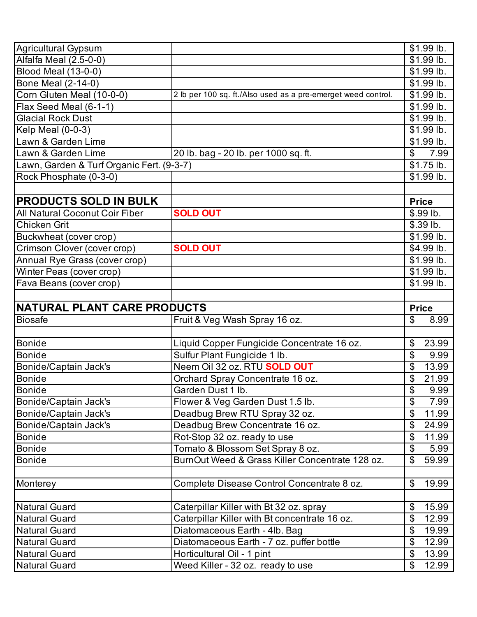| Agricultural Gypsum                       |                                                               | \$1.99 lb.                 |
|-------------------------------------------|---------------------------------------------------------------|----------------------------|
| Alfalfa Meal (2.5-0-0)                    |                                                               | \$1.99 lb.                 |
| Blood Meal (13-0-0)                       |                                                               | \$1.99 lb.                 |
| <b>Bone Meal (2-14-0)</b>                 |                                                               | \$1.99 lb.                 |
| Corn Gluten Meal (10-0-0)                 | 2 lb per 100 sq. ft./Also used as a pre-emerget weed control. | \$1.99 lb.                 |
| Flax Seed Meal (6-1-1)                    |                                                               | \$1.99 lb.                 |
| <b>Glacial Rock Dust</b>                  |                                                               | \$1.99 lb.                 |
| <b>Kelp Meal (0-0-3)</b>                  |                                                               | $$1.99$ lb.                |
| Lawn & Garden Lime                        |                                                               | \$1.99 lb.                 |
| Lawn & Garden Lime                        | 20 lb. bag - 20 lb. per 1000 sq. ft.                          | 7.99<br>\$                 |
| Lawn, Garden & Turf Organic Fert. (9-3-7) |                                                               | $$1.75$ lb.                |
| Rock Phosphate (0-3-0)                    |                                                               | \$1.99 lb.                 |
|                                           |                                                               |                            |
| <b>PRODUCTS SOLD IN BULK</b>              |                                                               | <b>Price</b>               |
| <b>All Natural Coconut Coir Fiber</b>     | <b>SOLD OUT</b>                                               | \$.99 lb.                  |
| <b>Chicken Grit</b>                       |                                                               | \$.39 lb.                  |
| Buckwheat (cover crop)                    |                                                               | \$1.99 lb.                 |
| Crimson Clover (cover crop)               | <b>SOLD OUT</b>                                               | \$4.99 lb.                 |
| Annual Rye Grass (cover crop)             |                                                               | \$1.99 lb.                 |
| Winter Peas (cover crop)                  |                                                               | \$1.99 lb.                 |
| Fava Beans (cover crop)                   |                                                               | \$1.99 lb.                 |
|                                           |                                                               |                            |
| NATURAL PLANT CARE PRODUCTS               |                                                               |                            |
| <b>Biosafe</b>                            | Fruit & Veg Wash Spray 16 oz.                                 | <b>Price</b><br>\$<br>8.99 |
|                                           |                                                               |                            |
| Bonide                                    | Liquid Copper Fungicide Concentrate 16 oz.                    | \$<br>23.99                |
| <b>Bonide</b>                             | Sulfur Plant Fungicide 1 lb.                                  | \$<br>9.99                 |
| Bonide/Captain Jack's                     | Neem Oil 32 oz. RTU <b>SOLD OUT</b>                           | 13.99                      |
| Bonide                                    | Orchard Spray Concentrate 16 oz.                              | 21.99<br>\$                |
| Bonide                                    | Garden Dust 1 lb                                              | \$<br>9.99                 |
| Bonide/Captain Jack's                     | Flower & Veg Garden Dust 1.5 lb.                              | \$<br>7.99                 |
| Bonide/Captain Jack's                     | Deadbug Brew RTU Spray 32 oz.                                 | \$<br>11.99                |
| Bonide/Captain Jack's                     | Deadbug Brew Concentrate 16 oz.                               | \$<br>24.99                |
| <b>Bonide</b>                             | Rot-Stop 32 oz. ready to use                                  | \$<br>11.99                |
| <b>Bonide</b>                             | Tomato & Blossom Set Spray 8 oz.                              | \$<br>5.99                 |
| <b>Bonide</b>                             | BurnOut Weed & Grass Killer Concentrate 128 oz.               | \$<br>59.99                |
|                                           |                                                               |                            |
| Monterey                                  | Complete Disease Control Concentrate 8 oz.                    | \$<br>19.99                |
|                                           |                                                               |                            |
| <b>Natural Guard</b>                      | Caterpillar Killer with Bt 32 oz. spray                       | \$<br>15.99                |
| <b>Natural Guard</b>                      | Caterpillar Killer with Bt concentrate 16 oz.                 | \$<br>12.99                |
| <b>Natural Guard</b>                      | Diatomaceous Earth - 4lb. Bag                                 | \$<br>19.99                |
| <b>Natural Guard</b>                      | Diatomaceous Earth - 7 oz. puffer bottle                      | \$<br>12.99                |
|                                           |                                                               |                            |
| <b>Natural Guard</b>                      | Horticultural Oil - 1 pint                                    | \$<br>13.99                |